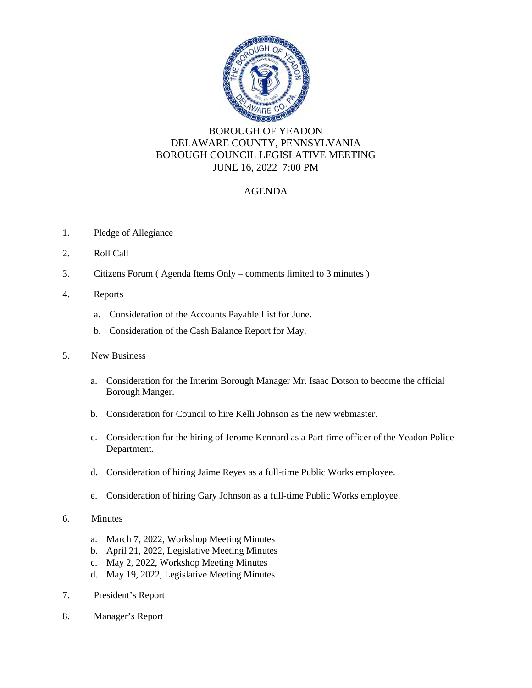

## BOROUGH OF YEADON DELAWARE COUNTY, PENNSYLVANIA BOROUGH COUNCIL LEGISLATIVE MEETING JUNE 16, 2022 7:00 PM

## AGENDA

- 1. Pledge of Allegiance
- 2. Roll Call
- 3. Citizens Forum ( Agenda Items Only comments limited to 3 minutes )
- 4. Reports
	- a. Consideration of the Accounts Payable List for June.
	- b. Consideration of the Cash Balance Report for May.
- 5. New Business
	- a. Consideration for the Interim Borough Manager Mr. Isaac Dotson to become the official Borough Manger.
	- b. Consideration for Council to hire Kelli Johnson as the new webmaster.
	- c. Consideration for the hiring of Jerome Kennard as a Part-time officer of the Yeadon Police Department.
	- d. Consideration of hiring Jaime Reyes as a full-time Public Works employee.
	- e. Consideration of hiring Gary Johnson as a full-time Public Works employee.
- 6. Minutes
	- a. March 7, 2022, Workshop Meeting Minutes
	- b. April 21, 2022, Legislative Meeting Minutes
	- c. May 2, 2022, Workshop Meeting Minutes
	- d. May 19, 2022, Legislative Meeting Minutes
- 7. President's Report
- 8. Manager's Report